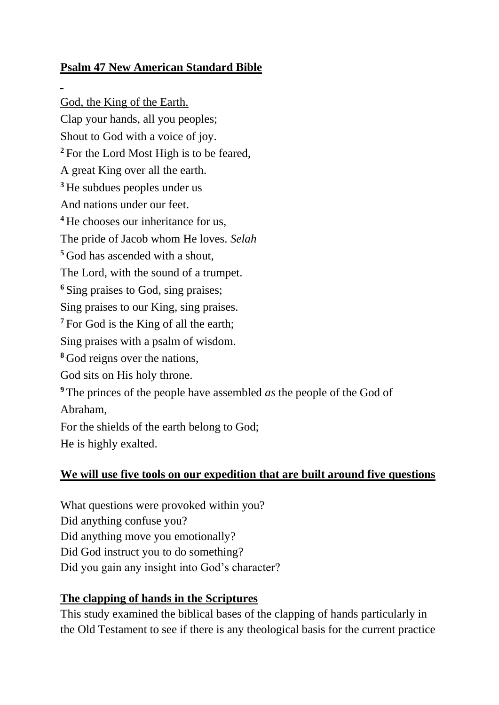## **Psalm 47 New American Standard Bible**

God, the King of the Earth. Clap your hands, all you peoples; Shout to God with a voice of joy. <sup>2</sup> For the Lord Most High is to be feared, A great King over all the earth. **<sup>3</sup>** He subdues peoples under us And nations under our feet. **<sup>4</sup>** He chooses our inheritance for us, The pride of Jacob whom He loves. *Selah* **<sup>5</sup>** God has ascended with a shout, The Lord, with the sound of a trumpet. **<sup>6</sup>** Sing praises to God, sing praises; Sing praises to our King, sing praises. **<sup>7</sup>** For God is the King of all the earth; Sing praises with a psalm of wisdom. **<sup>8</sup>** God reigns over the nations, God sits on His holy throne. **<sup>9</sup>** The princes of the people have assembled *as* the people of the God of Abraham, For the shields of the earth belong to God; He is highly exalted.

## **We will use five tools on our expedition that are built around five questions**

What questions were provoked within you? Did anything confuse you? Did anything move you emotionally? Did God instruct you to do something? Did you gain any insight into God's character?

## **The clapping of hands in the Scriptures**

This study examined the biblical bases of the clapping of hands particularly in the Old Testament to see if there is any theological basis for the current practice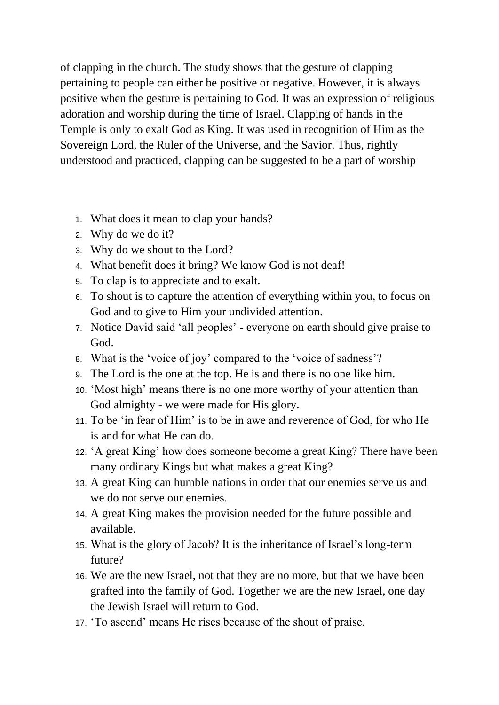of clapping in the church. The study shows that the gesture of clapping pertaining to people can either be positive or negative. However, it is always positive when the gesture is pertaining to God. It was an expression of religious adoration and worship during the time of Israel. Clapping of hands in the Temple is only to exalt God as King. It was used in recognition of Him as the Sovereign Lord, the Ruler of the Universe, and the Savior. Thus, rightly understood and practiced, clapping can be suggested to be a part of worship

- 1. What does it mean to clap your hands?
- 2. Why do we do it?
- 3. Why do we shout to the Lord?
- 4. What benefit does it bring? We know God is not deaf!
- 5. To clap is to appreciate and to exalt.
- 6. To shout is to capture the attention of everything within you, to focus on God and to give to Him your undivided attention.
- 7. Notice David said 'all peoples' everyone on earth should give praise to God.
- 8. What is the 'voice of joy' compared to the 'voice of sadness'?
- 9. The Lord is the one at the top. He is and there is no one like him.
- 10. 'Most high' means there is no one more worthy of your attention than God almighty - we were made for His glory.
- 11. To be 'in fear of Him' is to be in awe and reverence of God, for who He is and for what He can do.
- 12. 'A great King' how does someone become a great King? There have been many ordinary Kings but what makes a great King?
- 13. A great King can humble nations in order that our enemies serve us and we do not serve our enemies.
- 14. A great King makes the provision needed for the future possible and available.
- 15. What is the glory of Jacob? It is the inheritance of Israel's long-term future?
- 16. We are the new Israel, not that they are no more, but that we have been grafted into the family of God. Together we are the new Israel, one day the Jewish Israel will return to God.
- 17. 'To ascend' means He rises because of the shout of praise.